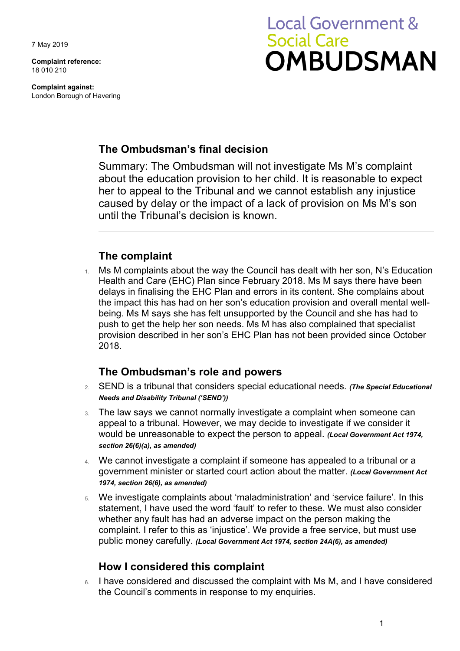7 May 2019

**Complaint reference:**  18 010 210

**Complaint against:**  London Borough of Havering

# **Local Government & Social Care OMBUDSMAN**

## **The Ombudsman's final decision**

Summary: The Ombudsman will not investigate Ms M's complaint about the education provision to her child. It is reasonable to expect her to appeal to the Tribunal and we cannot establish any injustice caused by delay or the impact of a lack of provision on Ms M's son until the Tribunal's decision is known.

## **The complaint**

1. Ms M complaints about the way the Council has dealt with her son, N's Education provision described in her son's EHC Plan has not been provided since October Health and Care (EHC) Plan since February 2018. Ms M says there have been delays in finalising the EHC Plan and errors in its content. She complains about the impact this has had on her son's education provision and overall mental wellbeing. Ms M says she has felt unsupported by the Council and she has had to push to get the help her son needs. Ms M has also complained that specialist 2018.

## **The Ombudsman's role and powers**

- 2. SEND is a tribunal that considers special educational needs. *(The Special Educational Needs and Disability Tribunal ('SEND'))*
- 3. The law says we cannot normally investigate a complaint when someone can appeal to a tribunal. However, we may decide to investigate if we consider it would be unreasonable to expect the person to appeal. *(Local Government Act 1974, section 26(6)(a), as amended)*
- 4. We cannot investigate a complaint if someone has appealed to a tribunal or a government minister or started court action about the matter. *(Local Government Act 1974, section 26(6), as amended)*
- 5. We investigate complaints about 'maladministration' and 'service failure'. In this statement, I have used the word 'fault' to refer to these. We must also consider whether any fault has had an adverse impact on the person making the complaint. I refer to this as 'injustice'. We provide a free service, but must use public money carefully. *(Local Government Act 1974, section 24A(6), as amended)*

# **How I considered this complaint**

6. I have considered and discussed the complaint with Ms M, and I have considered the Council's comments in response to my enquiries.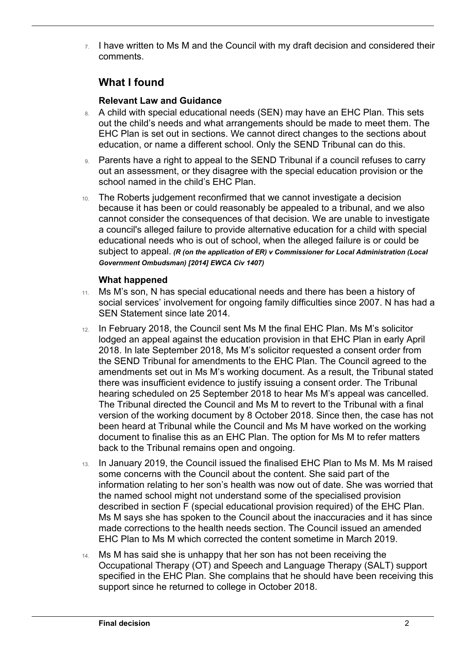$7.$  I have written to Ms M and the Council with my draft decision and considered their comments.

# **What I found**

 $\overline{a}$ 

#### **Relevant Law and Guidance**

- 8. A child with special educational needs (SEN) may have an EHC Plan. This sets education, or name a different school. Only the SEND Tribunal can do this. out the child's needs and what arrangements should be made to meet them. The EHC Plan is set out in sections. We cannot direct changes to the sections about
- out an assessment, or they disagree with the special education provision or the 9. Parents have a right to appeal to the SEND Tribunal if a council refuses to carry school named in the child's EHC Plan.
- 10. The Roberts judgement reconfirmed that we cannot investigate a decision educational needs who is out of school, when the alleged failure is or could be because it has been or could reasonably be appealed to a tribunal, and we also cannot consider the consequences of that decision. We are unable to investigate a council's alleged failure to provide alternative education for a child with special subject to appeal. *(R (on the application of ER) v Commissioner for Local Administration (Local Government Ombudsman) [2014] EWCA Civ 1407)*

#### **What happened**

- 11. Ms M's son, N has special educational needs and there has been a history of social services' involvement for ongoing family difficulties since 2007. N has had a SEN Statement since late 2014.
- there was insufficient evidence to justify issuing a consent order. The Tribunal The Tribunal directed the Council and Ms M to revert to the Tribunal with a final version of the working document by 8 October 2018. Since then, the case has not 12. In February 2018, the Council sent Ms M the final EHC Plan. Ms M's solicitor lodged an appeal against the education provision in that EHC Plan in early April 2018. In late September 2018, Ms M's solicitor requested a consent order from the SEND Tribunal for amendments to the EHC Plan. The Council agreed to the amendments set out in Ms M's working document. As a result, the Tribunal stated hearing scheduled on 25 September 2018 to hear Ms M's appeal was cancelled. been heard at Tribunal while the Council and Ms M have worked on the working document to finalise this as an EHC Plan. The option for Ms M to refer matters back to the Tribunal remains open and ongoing.
- 13. In January 2019, the Council issued the finalised EHC Plan to Ms M. Ms M raised some concerns with the Council about the content. She said part of the information relating to her son's health was now out of date. She was worried that the named school might not understand some of the specialised provision described in section F (special educational provision required) of the EHC Plan. Ms M says she has spoken to the Council about the inaccuracies and it has since made corrections to the health needs section. The Council issued an amended EHC Plan to Ms M which corrected the content sometime in March 2019.
- 14. Ms M has said she is unhappy that her son has not been receiving the Occupational Therapy (OT) and Speech and Language Therapy (SALT) support specified in the EHC Plan. She complains that he should have been receiving this support since he returned to college in October 2018.